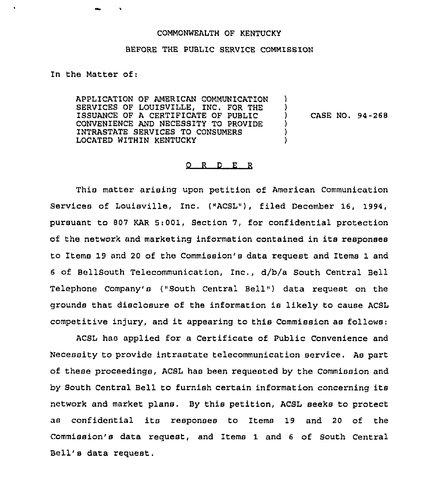## COMMONWEALTH OF KENTUCKY

## BEFORE THE PUBLIC SERVICE COMMISSION

In the Matter of:

APPLICATION OF AMERICAN COMMUNICATION SERVICES OF LOUISVILLE, INC. FOR THE ISSUANCE OF A CERTIFICATE OF PUBLIC CONVENIENCE AND NECESSITY TO PROVIDE INTRASTATE SERVICES TO CONSUMERS LOCATED WITHIN KENTUCKY ) ) ) CASE NO. 94-268 ) ) )

## $Q$  R  $D$  E R

This matter arising upon petition of American Communication Services of Louisville, Inc. ("ACSL"), filed December 16, 1994, pursuant to 807 KAR 5:001, Section 7, for confidential protection of the netwox'k and marketing infoxmation contained in its responses to Items 19 and 20 of the Commission's data request and Items 1 and <sup>6</sup> of BellSouth Telecommunication, inc,, d/b/a South Central Bell Telephone Company's ("South Central Bell" ) data request on the grounds that disclosure of the information is likely to cause ACSL competitive injury, and it appearing to this Commission as follows:

ACSL has applied for a Certificate of Public convenience and Necessity to provide intrastate telecommunication service. As part of these proceedings, ACSL has been requested by the Commission and by South Central Bell to furnish certain information concerning its network and market plans. By this petition, ACSL seeks to protect as confidential its responses to Items 19 and <sup>20</sup> of the Commission's data request, and Items 1 and 6 of South Central Bell's data request,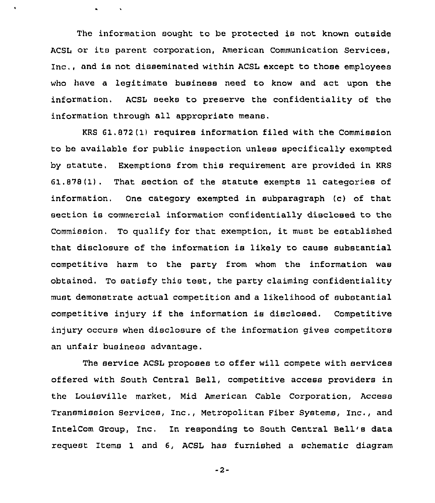The information sought to be protected is not known outside ACSL or its parent corporation, American Communication Services, Inc., and is not disseminated within ACSL except to those employees who have a legitimate business need to know and act upon the information. ACSL seeks to preserve the confidentiality of the information through all appropriate means.

 $\ddot{\phantom{a}}$ 

 $\mathbf{A}^{\top}$ 

KRS 61.872(1) requires information filed with the Commission to be available for public inspection unless specifically exempted by statute. Exemptions from this requirement are provided in KRS 61.878(1). That section of the statute exempts 11 categories of information. One category exempted in subparagraph (c) of that section is commercial information confidentially disclosed to the Commission. To qualify for that exemption, it must be established that disclosure of the information is likely to cause substantial competitive harm to the party from whom the information was obtained. To satisfy this test, the party claiming confidentiality must demonstrate actual competition and a likelihood of substantial competitive in)ury if the information is disclosed. Competitive injury occurs when disclosure of the information gives competitors an unfair business advantage.

The service ACSL proposes to offer will compete with services offered with South Central Bell, competitive access providers in the Louisville market, Mid American Cable Corporation, Access Transmission Services, Inc,, Netropolitan Fiber Systems, Inc., and IntelCom Group, Inc, In responding to South Central Bell's data request Items 1 and 6, ACSL has furnished a schematic diagram

 $-2-$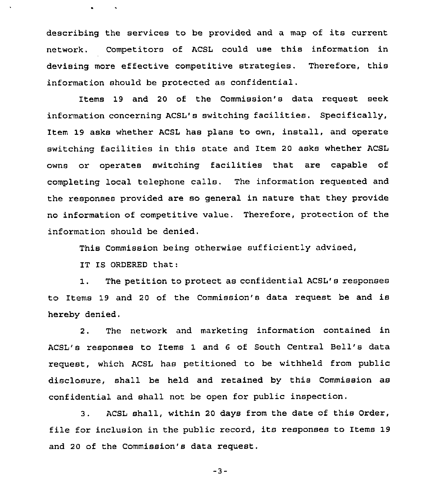describing the services to be provided and <sup>a</sup> map of its current network. Competitors of ACSL could use this information in devising more effective competitive strategies. Therefore, this information should be protected as confidential.

Items 19 and 20 of the Commission's data request seek information concerning ACSL'8 switching facilities. Specifically, Item 19 asks whether ACSL has plans to own, install, and operate switching facilities in this state and Item 20 asks whether ACSL owns or operates switching facilities that are capable of completing local telephone calls. The information requested and the responses provided are so general in nature that they provide no information of competitive value. Therefore, protection of the information should be denied.

This Commission being otherwise sufficiently advised,

IT IS ORDERED that:

1. The petition to protect as confidential ACSL's responses to Items 19 and <sup>20</sup> of the Commission's data request be and is hereby denied.

2. The network and marketing information contained in ACSL's responses to Items 1 and <sup>6</sup> of South Central Bell's data request, which ACSL has petitioned to be withheld from public disclosure, shall be held and retained by this Commission as confidential and shall not be open for public inspection.

3. ACSL shall, within <sup>20</sup> days from the date of this Order, file for inclusion in the public record, its responses to Items 19 and 20 of the Commission's data request.

-3-